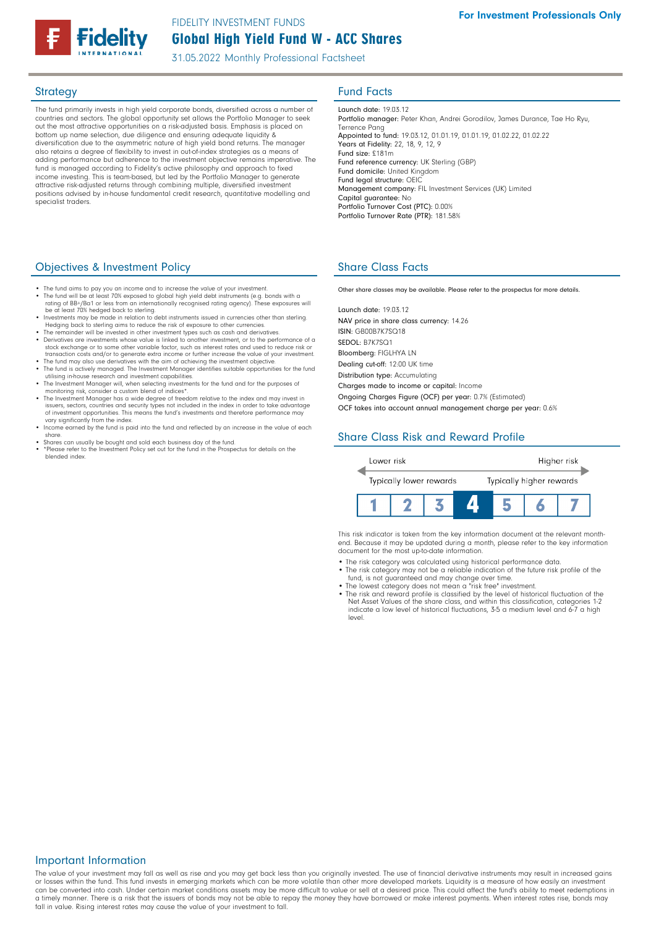# Global High Yield Fund W - ACC Shares FIDELITY INVESTMENT FUNDS

31.05.2022 Monthly Professional Factsheet

The fund primarily invests in high yield corporate bonds, diversified across a number of countries and sectors. The global opportunity set allows the Portfolio Manager to seek out the most attractive opportunities on a risk-adjusted basis. Emphasis is placed on bottom up name selection, due diligence and ensuring adequate liquidity & diversification due to the asymmetric nature of high yield bond returns. The manager also retains a degree of flexibility to invest in out-of-index strategies as a means of adding performance but adherence to the investment objective remains imperative. The fund is managed according to Fidelity's active philosophy and approach to fixed income investing. This is team-based, but led by the Portfolio Manager to generate attractive risk-adjusted returns through combining multiple, diversified investment positions advised by in-house fundamental credit research, quantitative modelling and specialist traders.

## Objectives & Investment Policy

- The fund aims to pay you an income and to increase the value of your investment.
- The fund will be at least 70% exposed to global high yield debt instruments (e.g. bonds with a rating of BB+/Ba1 or less from an internationally recognised rating agency). These exposures will
- be at least 70% hedged back to sterling.<br>• Investments may be made in relation to debt instruments issued in currencies other than sterling.<br>Hedging back to sterling aims to reduce the risk of exposure to other currencies.
- The remainder will be invested in other investment types such as cash and derivatives. Derivatives are investments whose value is linked to another investment, or to the performance of a
- stock exchange or to some other variable factor, such as interest rates and used to reduce risk or<br>transaction costs and/or to generate extra income or further increase the value of your investment.<br>The fund may also use d
- 
- monitoring risk, consider a custom blend of indices\*.
- The Investment Manager has a wide degree of freedom relative to the index and may invest in issuers, sectors, countries and security types not included in the index in order to take advantage of investment opportunities. This means the fund's investments and therefore performance may vary significantly from the index.
- Income earned by the fund is paid into the fund and reflected by an increase in the value of each share.
- Shares can usually be bought and sold each business day of the fund. • \*Please refer to the Investment Policy set out for the fund in the Prospectus for details on the blended index.

# **Strategy Fund Facts**

Launch date: 19.03.12 Portfolio manager: Peter Khan, Andrei Gorodilov, James Durance, Tae Ho Ryu, Terrence Pang Appointed to fund: 19.03.12, 01.01.19, 01.01.19, 01.02.22, 01.02.22 Years at Fidelity: 22, 18, 9, 12, 9 Fund size: £181m Fund reference currency: UK Sterling (GBP) Fund domicile: United Kingdom Fund legal structure: OEIC Management company: FIL Investment Services (UK) Limited Capital guarantee: No Portfolio Turnover Cost (PTC): 0.00% Portfolio Turnover Rate (PTR): 181.58%

# Share Class Facts

Other share classes may be available. Please refer to the prospectus for more details.

Launch date: 19.03.12 NAV price in share class currency: 14.26 ISIN: GB00B7K7SQ18 SEDOL: B7K7SQ1 Bloomberg: FIGLHYA LN Dealing cut-off: 12:00 UK time Distribution type: Accumulating Charges made to income or capital: Income

Ongoing Charges Figure (OCF) per year: 0.7% (Estimated)

OCF takes into account annual management charge per year: 0.6%

# Share Class Risk and Reward Profile



This risk indicator is taken from the key information document at the relevant monthend. Because it may be updated during a month, please refer to the key information document for the most up-to-date information.

- The risk category was calculated using historical performance data.
- The risk category may not be a reliable indication of the future risk profile of the fund, is not guaranteed and may change over time.
- The lowest category does not mean a "risk free" investment. The risk and reward profile is classified by the level of historical fluctuation of the
- Net Asset Values of the share class, and within this classification, categories 1-2 indicate a low level of historical fluctuations, 3-5 a medium level and 6-7 a high level.

## Important Information

The value of your investment may fall as well as rise and you may get back less than you originally invested. The use of financial derivative instruments may result in increased gains or losses within the fund. This fund invests in emerging markets which can be more volatile than other more developed markets. Liquidity is a measure of how easily an investment<br>can be converted into cash. Under certain ma a timely manner. There is a risk that the issuers of bonds may not be able to repay the money they have borrowed or make interest payments. When interest rates rise, bonds may fall in value. Rising interest rates may cause the value of your investment to fall.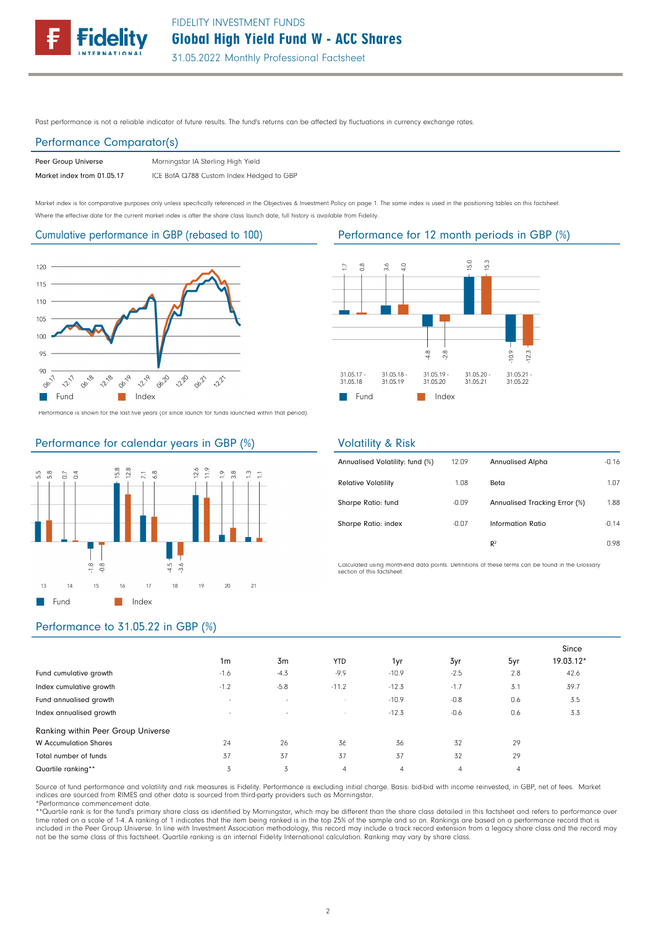

Past performance is not a reliable indicator of future results. The fund's returns can be affected by fluctuations in currency exchange rates.

### Performance Comparator(s)

| Peer Group Universe        | Morningstar IA Sterling High Yield       |
|----------------------------|------------------------------------------|
| Market index from 01.05.17 | ICE BofA Q788 Custom Index Hedged to GBP |

Market index is for comparative purposes only unless specifically referenced in the Objectives & Investment Policy on page 1. The same index is used in the positioning tables on this factsheet. Where the effective date for the current market index is after the share class launch date, full history is available from Fidelity.



Performance is shown for the last five years (or since launch for funds launched within that period).



## Performance for calendar years in GBP (%)





## Volatility & Risk

| Annualised Volatility: fund (%) | 12.09   | <b>Annualised Alpha</b>       | $-0.16$ |
|---------------------------------|---------|-------------------------------|---------|
| <b>Relative Volatility</b>      | 1.08    | Beta                          | 1.07    |
| Sharpe Ratio: fund              | $-0.09$ | Annualised Tracking Error (%) | 1.88    |
| Sharpe Ratio: index             | $-0.07$ | Information Ratio             | $-0.14$ |
|                                 |         | R <sup>2</sup>                | 0.98    |

Calculated using month-end data points. Definitions of these terms can be found in the Glossary section of this factsheet.

# Performance to 31.05.22 in GBP (%)

|                                    | 1 <sub>m</sub> | 3m     | <b>YTD</b>     | 1yr            | 3yr            | 5yr            | Since<br>19.03.12* |
|------------------------------------|----------------|--------|----------------|----------------|----------------|----------------|--------------------|
| Fund cumulative growth             | $-1.6$         | $-4.3$ | $-9.9$         | $-10.9$        | $-2.5$         | 2.8            | 42.6               |
| Index cumulative growth            | $-1.2$         | $-5.8$ | $-11.2$        | $-12.3$        | $-1.7$         | 3.1            | 39.7               |
| Fund annualised growth             | $\sim$         | $\sim$ | $\sim$         | $-10.9$        | $-0.8$         | 0.6            | 3.5                |
| Index annualised growth            | $\sim$         | $\sim$ | $\sim$         | $-12.3$        | $-0.6$         | 0.6            | 3.3                |
| Ranking within Peer Group Universe |                |        |                |                |                |                |                    |
| <b>W</b> Accumulation Shares       | 24             | 26     | 36             | 36             | 32             | 29             |                    |
| Total number of funds              | 37             | 37     | 37             | 37             | 32             | 29             |                    |
| Quartile ranking**                 | 3              | 3      | $\overline{4}$ | $\overline{4}$ | $\overline{4}$ | $\overline{4}$ |                    |

Source of fund performance and volatility and risk measures is Fidelity. Performance is excluding initial charge. Basis: bid-bid with income reinvested, in GBP, net of fees. Market indices are sourced from RIMES and other data is sourced from third-party providers such as Morningstar. \*Performance commencement date.

\*\*Quartile rank is for the fund's primary share class as identified by Morningstar, which may be different than the share class detailed in this factsheet and refers to performance over time rated on a scale of 1-4. A ranking of 1 indicates that the item being ranked is in the top 25% of the sample and so on. Rankings are based on a performance record that is<br>included in the Peer Group Universe. In line w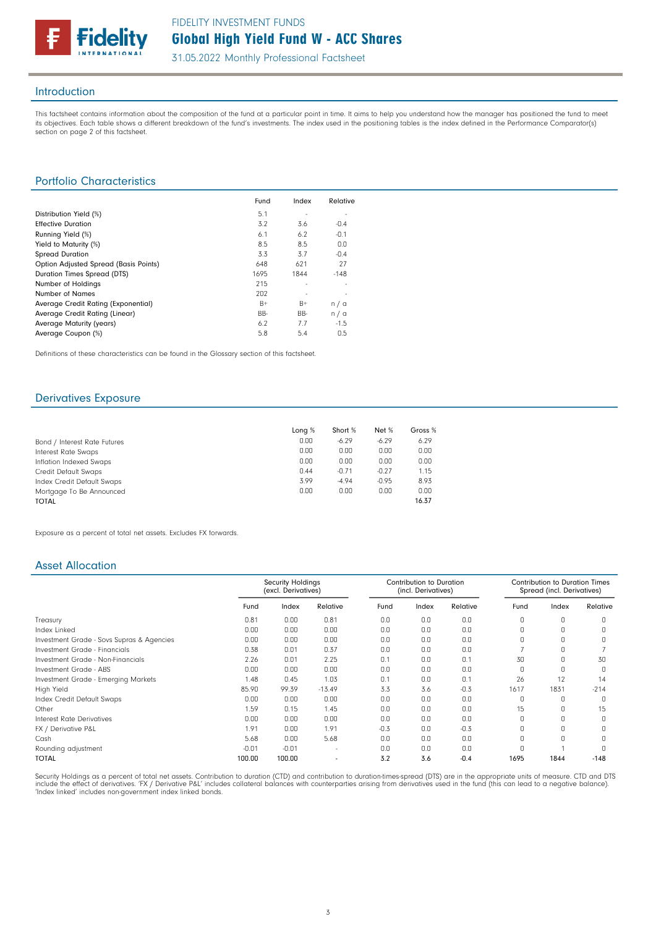

### Introduction

This factsheet contains information about the composition of the fund at a particular point in time. It aims to help you understand how the manager has positioned the fund to meet its objectives. Each table shows a different breakdown of the fund's investments. The index used in the positioning tables is the index defined in the Performance Comparator(s) section on page 2 of this factsheet.

## Portfolio Characteristics

|                                       | Fund | Index | Relative |
|---------------------------------------|------|-------|----------|
| Distribution Yield (%)                | 5.1  |       |          |
| <b>Effective Duration</b>             | 3.2  | 3.6   | $-0.4$   |
| Running Yield (%)                     | 6.1  | 6.2   | $-0.1$   |
| Yield to Maturity (%)                 | 8.5  | 8.5   | 0.0      |
| <b>Spread Duration</b>                | 3.3  | 3.7   | $-0.4$   |
| Option Adjusted Spread (Basis Points) | 648  | 621   | 27       |
| Duration Times Spread (DTS)           | 1695 | 1844  | $-148$   |
| Number of Holdings                    | 215  | ٠     |          |
| <b>Number of Names</b>                | 202  |       |          |
| Average Credit Rating (Exponential)   | $B+$ | $B+$  | n/a      |
| Average Credit Rating (Linear)        | BB-  | BB-   | n/a      |
| Average Maturity (years)              | 6.2  | 7.7   | $-1.5$   |
| Average Coupon (%)                    | 5.8  | 5.4   | 0.5      |

Definitions of these characteristics can be found in the Glossary section of this factsheet.

## Derivatives Exposure

|                              | Long $%$ | Short % | Net %   | Gross % |
|------------------------------|----------|---------|---------|---------|
| Bond / Interest Rate Futures | 0.00     | $-6.29$ | $-6.29$ | 6.29    |
| Interest Rate Swaps          | 0.00     | 0.00    | 0.00    | 0.00    |
| Inflation Indexed Swaps      | 0.00     | 0.00    | 0.00    | 0.00    |
| Credit Default Swaps         | 0.44     | $-0.71$ | $-0.27$ | 1.15    |
| Index Credit Default Swaps   | 3.99     | $-4.94$ | $-0.95$ | 8.93    |
| Mortgage To Be Announced     | 0.00     | 0.00    | 0.00    | 0.00    |
| <b>TOTAL</b>                 |          |         |         | 16.37   |

Exposure as a percent of total net assets. Excludes FX forwards.

### Asset Allocation

|                                           |         | <b>Security Holdings</b><br>(excl. Derivatives) |          | <b>Contribution to Duration</b><br>(incl. Derivatives) |       |          | <b>Contribution to Duration Times</b><br>Spread (incl. Derivatives) |       |          |
|-------------------------------------------|---------|-------------------------------------------------|----------|--------------------------------------------------------|-------|----------|---------------------------------------------------------------------|-------|----------|
|                                           | Fund    | Index                                           | Relative | Fund                                                   | Index | Relative | Fund                                                                | Index | Relative |
| Treasury                                  | 0.81    | 0.00                                            | 0.81     | 0.0                                                    | 0.0   | 0.0      | $\Omega$                                                            | 0     |          |
| Index Linked                              | 0.00    | 0.00                                            | 0.00     | 0.0                                                    | 0.0   | 0.0      | $\cap$                                                              |       |          |
| Investment Grade - Sovs Supras & Agencies | 0.00    | 0.00                                            | 0.00     | 0.0                                                    | 0.0   | 0.0      |                                                                     |       |          |
| Investment Grade - Financials             | 0.38    | 0.01                                            | 0.37     | 0.0                                                    | 0.0   | 0.0      |                                                                     |       |          |
| Investment Grade - Non-Financials         | 2.26    | 0.01                                            | 2.25     | 0.1                                                    | 0.0   | 0.1      | 30                                                                  |       | 30       |
| Investment Grade - ABS                    | 0.00    | 0.00                                            | 0.00     | 0.0                                                    | 0.0   | 0.0      | n                                                                   |       |          |
| Investment Grade - Emerging Markets       | 1.48    | 0.45                                            | 1.03     | 0.1                                                    | 0.0   | 0.1      | 26                                                                  | 12    | 14       |
| High Yield                                | 85.90   | 99.39                                           | $-13.49$ | 3.3                                                    | 3.6   | $-0.3$   | 1617                                                                | 1831  | $-214$   |
| Index Credit Default Swaps                | 0.00    | 0.00                                            | 0.00     | 0.0                                                    | 0.0   | 0.0      | O                                                                   |       |          |
| Other                                     | 1.59    | 0.15                                            | 1.45     | 0.0                                                    | 0.0   | 0.0      | 15                                                                  |       | 15       |
| Interest Rate Derivatives                 | 0.00    | 0.00                                            | 0.00     | 0.0                                                    | 0.0   | 0.0      |                                                                     |       |          |
| FX / Derivative P&L                       | 1.91    | 0.00                                            | 1.91     | $-0.3$                                                 | 0.0   | $-0.3$   |                                                                     |       |          |
| Cash                                      | 5.68    | 0.00                                            | 5.68     | 0.0                                                    | 0.0   | 0.0      |                                                                     |       |          |
| Rounding adjustment                       | $-0.01$ | $-0.01$                                         |          | 0.0                                                    | 0.0   | 0.0      |                                                                     |       |          |
| <b>TOTAL</b>                              | 100.00  | 100.00                                          |          | 3.2                                                    | 3.6   | $-0.4$   | 1695                                                                | 1844  | $-148$   |

Security Holdings as a percent of total net assets. Contribution to duration (CTD) and contribution to duration-times-spread (DTS) are in the appropriate units of measure. CTD and DTS include the effect of derivatives. 'FX / Derivative P&L' includes collateral balances with counterparties arising from derivatives used in the fund (this can lead to a negative balance). 'Index linked' includes non-government index linked bonds.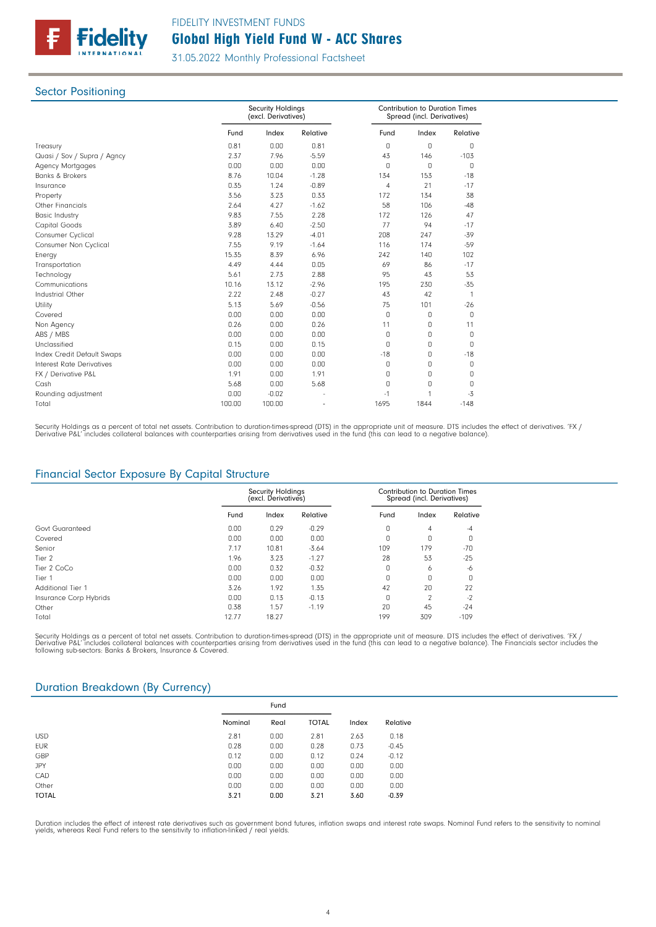

### Sector Positioning

|                             |        | <b>Security Holdings</b><br>(excl. Derivatives) |          |                | <b>Contribution to Duration Times</b><br>Spread (incl. Derivatives) |              |  |
|-----------------------------|--------|-------------------------------------------------|----------|----------------|---------------------------------------------------------------------|--------------|--|
|                             | Fund   | Index                                           | Relative | Fund           | Index                                                               | Relative     |  |
| Treasury                    | 0.81   | 0.00                                            | 0.81     | 0              | $\Omega$                                                            | $\mathbf 0$  |  |
| Quasi / Sov / Supra / Agncy | 2.37   | 7.96                                            | $-5.59$  | 43             | 146                                                                 | $-103$       |  |
| <b>Agency Mortgages</b>     | 0.00   | 0.00                                            | 0.00     | 0              | $\mathbf 0$                                                         | 0            |  |
| <b>Banks &amp; Brokers</b>  | 8.76   | 10.04                                           | $-1.28$  | 134            | 153                                                                 | $-18$        |  |
| Insurance                   | 0.35   | 1.24                                            | $-0.89$  | $\overline{4}$ | 21                                                                  | $-17$        |  |
| Property                    | 3.56   | 3.23                                            | 0.33     | 172            | 134                                                                 | 38           |  |
| <b>Other Financials</b>     | 2.64   | 4.27                                            | $-1.62$  | 58             | 106                                                                 | $-48$        |  |
| <b>Basic Industry</b>       | 9.83   | 7.55                                            | 2.28     | 172            | 126                                                                 | 47           |  |
| Capital Goods               | 3.89   | 6.40                                            | $-2.50$  | 77             | 94                                                                  | $-17$        |  |
| Consumer Cyclical           | 9.28   | 13.29                                           | $-4.01$  | 208            | 247                                                                 | $-39$        |  |
| Consumer Non Cyclical       | 7.55   | 9.19                                            | $-1.64$  | 116            | 174                                                                 | $-59$        |  |
| Energy                      | 15.35  | 8.39                                            | 6.96     | 242            | 140                                                                 | 102          |  |
| Transportation              | 4.49   | 4.44                                            | 0.05     | 69             | 86                                                                  | $-17$        |  |
| Technology                  | 5.61   | 2.73                                            | 2.88     | 95             | 43                                                                  | 53           |  |
| Communications              | 10.16  | 13.12                                           | $-2.96$  | 195            | 230                                                                 | $-35$        |  |
| Industrial Other            | 2.22   | 2.48                                            | $-0.27$  | 43             | 42                                                                  | $\mathbf{1}$ |  |
| Utility                     | 5.13   | 5.69                                            | $-0.56$  | 75             | 101                                                                 | $-26$        |  |
| Covered                     | 0.00   | 0.00                                            | 0.00     | $\Omega$       | $\mathbf 0$                                                         | $\Omega$     |  |
| Non Agency                  | 0.26   | 0.00                                            | 0.26     | 11             | 0                                                                   | 11           |  |
| ABS / MBS                   | 0.00   | 0.00                                            | 0.00     | 0              | 0                                                                   | 0            |  |
| Unclassified                | 0.15   | 0.00                                            | 0.15     | 0              | 0                                                                   | $\Omega$     |  |
| Index Credit Default Swaps  | 0.00   | 0.00                                            | 0.00     | $-18$          | 0                                                                   | $-18$        |  |
| Interest Rate Derivatives   | 0.00   | 0.00                                            | 0.00     | 0              | $\Omega$                                                            | $\Box$       |  |
| FX / Derivative P&L         | 1.91   | 0.00                                            | 1.91     | 0              | 0                                                                   | 0            |  |
| Cash                        | 5.68   | 0.00                                            | 5.68     | 0              | 0                                                                   | 0            |  |
| Rounding adjustment         | 0.00   | $-0.02$                                         |          | $-1$           | 1                                                                   | $-3$         |  |
| Total                       | 100.00 | 100.00                                          |          | 1695           | 1844                                                                | $-148$       |  |

Security Holdings as a percent of total net assets. Contribution to duration-times-spread (DTS) in the appropriate unit of measure. DTS includes the effect of derivatives. 'FX /<br>Derivative P&L' includes collateral balances

## Financial Sector Exposure By Capital Structure

|                        | <b>Security Holdings</b><br>(excl. Derivatives) |       | Contribution to Duration Times<br>Spread (incl. Derivatives) |      |               |          |
|------------------------|-------------------------------------------------|-------|--------------------------------------------------------------|------|---------------|----------|
|                        | Fund                                            | Index | Relative                                                     | Fund | Index         | Relative |
| Govt Guaranteed        | 0.00                                            | 0.29  | $-0.29$                                                      | 0    | 4             | $-4$     |
| Covered                | 0.00                                            | 0.00  | 0.00                                                         | 0    | O             | 0        |
| Senior                 | 7.17                                            | 10.81 | $-3.64$                                                      | 109  | 179           | $-70$    |
| Tier 2                 | 1.96                                            | 3.23  | $-1.27$                                                      | 28   | 53            | $-25$    |
| Tier 2 CoCo            | 0.00                                            | 0.32  | $-0.32$                                                      | 0    | 6             | -6       |
| Tier 1                 | 0.00                                            | 0.00  | 0.00                                                         | 0    | n             | $\Omega$ |
| Additional Tier 1      | 3.26                                            | 1.92  | 1.35                                                         | 42   | 20            | 22       |
| Insurance Corp Hybrids | 0.00                                            | 0.13  | $-0.13$                                                      | 0    | $\mathcal{D}$ | $-2$     |
| Other                  | 0.38                                            | 1.57  | $-1.19$                                                      | 20   | 45            | $-24$    |
| Total                  | 12.77                                           | 18.27 |                                                              | 199  | 309           | $-109$   |

Security Holdings as a percent of total net assets. Contribution to duration-times-spread (DTS) in the appropriate unit of measure. DTS includes the effect of derivatives. 'FX /<br>Derivative P&L' includes collateral balances

### Duration Breakdown (By Currency)

|              | Fund    |      |              |       |          |
|--------------|---------|------|--------------|-------|----------|
|              | Nominal | Real | <b>TOTAL</b> | Index | Relative |
| <b>USD</b>   | 2.81    | 0.00 | 2.81         | 2.63  | 0.18     |
| <b>EUR</b>   | 0.28    | 0.00 | 0.28         | 0.73  | $-0.45$  |
| GBP          | 0.12    | 0.00 | 0.12         | 0.24  | $-0.12$  |
| <b>JPY</b>   | 0.00    | 0.00 | 0.00         | 0.00  | 0.00     |
| CAD          | 0.00    | 0.00 | 0.00         | 0.00  | 0.00     |
| Other        | 0.00    | 0.00 | 0.00         | 0.00  | 0.00     |
| <b>TOTAL</b> | 3.21    | 0.00 | 3.21         | 3.60  | $-0.39$  |

Duration includes the effect of interest rate derivatives such as government bond futures, inflation swaps and interest rate swaps. Nominal Fund refers to the sensitivity to nomina<br>yields, whereas Real Fund refers to the s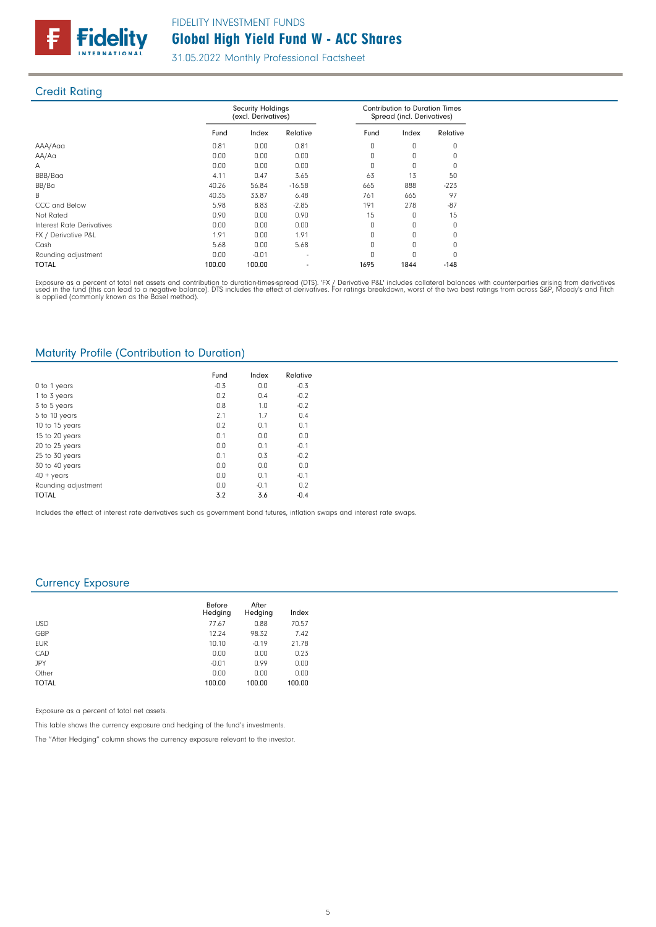

## Credit Rating

|                           |        | <b>Security Holdings</b><br>(excl. Derivatives) |          | <b>Contribution to Duration Times</b><br>Spread (incl. Derivatives) |          |          |
|---------------------------|--------|-------------------------------------------------|----------|---------------------------------------------------------------------|----------|----------|
|                           | Fund   | Index                                           | Relative | Fund                                                                | Index    | Relative |
| AAA/Aaa                   | 0.81   | 0.00                                            | 0.81     | 0                                                                   | $\Omega$ | O        |
| AA/Aa                     | 0.00   | 0.00                                            | 0.00     | $\Omega$                                                            | $\Omega$ | O        |
| A                         | 0.00   | 0.00                                            | 0.00     | O                                                                   | O        | $\Omega$ |
| BBB/Baa                   | 4.11   | 0.47                                            | 3.65     | 63                                                                  | 13       | 50       |
| BB/Ba                     | 40.26  | 56.84                                           | $-16.58$ | 665                                                                 | 888      | $-223$   |
| B.                        | 40.35  | 33.87                                           | 6.48     | 761                                                                 | 665      | 97       |
| CCC and Below             | 5.98   | 8.83                                            | $-2.85$  | 191                                                                 | 278      | $-87$    |
| Not Rated                 | 0.90   | 0.00                                            | 0.90     | 15                                                                  |          | 15       |
| Interest Rate Derivatives | 0.00   | 0.00                                            | 0.00     | 0                                                                   | O        | $\Omega$ |
| FX / Derivative P&L       | 1.91   | 0.00                                            | 1.91     | O                                                                   | O        | O        |
| Cash                      | 5.68   | 0.00                                            | 5.68     | $\Omega$                                                            | O        | O        |
| Rounding adjustment       | 0.00   | $-0.01$                                         |          |                                                                     | U        | n        |
| <b>TOTAL</b>              | 100.00 | 100.00                                          |          | 1695                                                                | 1844     | $-148$   |

Exposure as a percent of total net assets and contribution to duration-times-spread (DTS). 'FX / Derivative P&L' includes collateral balances with counterparties arising from derivatives<br>used in the fund (this can lead to

### Maturity Profile (Contribution to Duration)

|                     | Fund   | Index  | Relative |
|---------------------|--------|--------|----------|
| 0 to 1 years        | $-0.3$ | 0.0    | $-0.3$   |
| 1 to 3 years        | 0.2    | 0.4    | $-0.2$   |
| 3 to 5 years        | 0.8    | 1.0    | $-0.2$   |
| 5 to 10 years       | 2.1    | 1.7    | 0.4      |
| 10 to 15 years      | 0.2    | 0.1    | 0.1      |
| 15 to 20 years      | 0.1    | 0.0    | 0.0      |
| 20 to 25 years      | 0.0    | 0.1    | $-0.1$   |
| 25 to 30 years      | 0.1    | 0.3    | $-0.2$   |
| 30 to 40 years      | 0.0    | 0.0    | 0.0      |
| $40 + \gamma$ ears  | 0.0    | 0.1    | $-0.1$   |
| Rounding adjustment | 0.0    | $-0.1$ | 0.2      |
| <b>TOTAL</b>        | 3.2    | 3.6    | $-0.4$   |

Includes the effect of interest rate derivatives such as government bond futures, inflation swaps and interest rate swaps.

### Currency Exposure

|              | Before<br>Hedging | After<br>Hedging | Index  |
|--------------|-------------------|------------------|--------|
| <b>USD</b>   | 77.67             | 0.88             | 70.57  |
| GBP          | 12.24             | 98.32            | 7.42   |
| <b>EUR</b>   | 10.10             | $-0.19$          | 21.78  |
| CAD          | 0.00              | 0.00             | 0.23   |
| JPY          | $-0.01$           | 0.99             | 0.00   |
| Other        | 0.00              | 0.00             | 0.00   |
| <b>TOTAL</b> | 100.00            | 100.00           | 100.00 |

Exposure as a percent of total net assets.

This table shows the currency exposure and hedging of the fund's investments.

The "After Hedging" column shows the currency exposure relevant to the investor.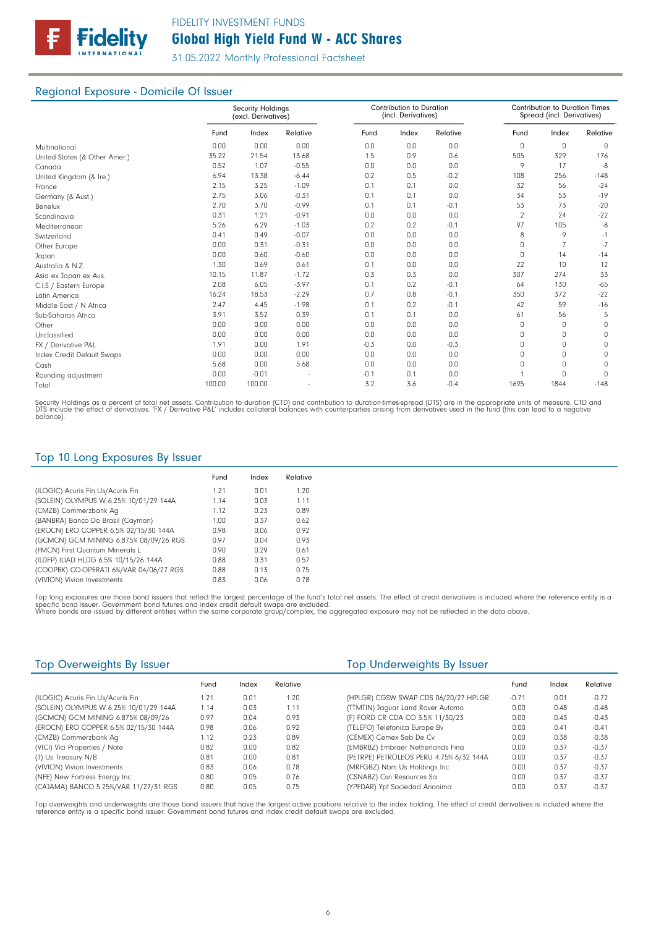

## Regional Exposure - Domicile Of Issuer

|                               | <b>Security Holdings</b><br>(excl. Derivatives) |         |          | Contribution to Duration<br>(incl. Derivatives) |       |          |                | <b>Contribution to Duration Times</b><br>Spread (incl. Derivatives) |          |  |
|-------------------------------|-------------------------------------------------|---------|----------|-------------------------------------------------|-------|----------|----------------|---------------------------------------------------------------------|----------|--|
|                               | Fund                                            | Index   | Relative | Fund                                            | Index | Relative | Fund           | Index                                                               | Relative |  |
| Multinational                 | 0.00                                            | 0.00    | 0.00     | 0.0                                             | 0.0   | 0.0      | 0              | 0                                                                   | 0        |  |
| United States (& Other Amer.) | 35.22                                           | 21.54   | 13.68    | 1.5                                             | 0.9   | 0.6      | 505            | 329                                                                 | 176      |  |
| Canada                        | 0.52                                            | 1.07    | $-0.55$  | 0.0                                             | 0.0   | 0.0      | 9              | 17                                                                  | -8       |  |
| United Kingdom (& Ire.)       | 6.94                                            | 13.38   | $-6.44$  | 0.2                                             | 0.5   | $-0.2$   | 108            | 256                                                                 | $-148$   |  |
| France                        | 2.15                                            | 3.25    | $-1.09$  | 0.1                                             | 0.1   | 0.0      | 32             | 56                                                                  | $-24$    |  |
| Germany (& Aust.)             | 2.75                                            | 3.06    | $-0.31$  | 0.1                                             | 0.1   | 0.0      | 34             | 53                                                                  | $-19$    |  |
| Benelux                       | 2.70                                            | 3.70    | $-0.99$  | 0.1                                             | 0.1   | $-0.1$   | 53             | 73                                                                  | $-20$    |  |
| Scandinavia                   | 0.31                                            | 1.21    | $-0.91$  | 0.0                                             | 0.0   | 0.0      | $\overline{2}$ | 24                                                                  | $-22$    |  |
| Mediterranean                 | 5.26                                            | 6.29    | $-1.03$  | 0.2                                             | 0.2   | $-0.1$   | 97             | 105                                                                 | -8       |  |
| Switzerland                   | 0.41                                            | 0.49    | $-0.07$  | 0.0                                             | 0.0   | 0.0      | 8              | 9                                                                   | $-1$     |  |
| Other Europe                  | 0.00                                            | 0.31    | $-0.31$  | 0.0                                             | 0.0   | 0.0      | $\Omega$       | $\overline{7}$                                                      | $-7$     |  |
| Japan                         | 0.00                                            | 0.60    | $-0.60$  | 0.0                                             | 0.0   | 0.0      | 0              | 14                                                                  | $-14$    |  |
| Australia & N.Z.              | 1.30                                            | 0.69    | 0.61     | 0.1                                             | 0.0   | 0.0      | 22             | 10                                                                  | 12       |  |
| Asia ex Japan ex Aus.         | 10.15                                           | 11.87   | $-1.72$  | 0.3                                             | 0.3   | 0.0      | 307            | 274                                                                 | 33       |  |
| C.I.S / Eastern Europe        | 2.08                                            | 6.05    | $-3.97$  | 0.1                                             | 0.2   | $-0.1$   | 64             | 130                                                                 | $-65$    |  |
| Latin America                 | 16.24                                           | 18.53   | $-2.29$  | 0.7                                             | 0.8   | $-0.1$   | 350            | 372                                                                 | $-22$    |  |
| Middle East / N Africa        | 2.47                                            | 4.45    | $-1.98$  | 0.1                                             | 0.2   | $-0.1$   | 42             | 59                                                                  | $-16$    |  |
| Sub-Saharan Africa            | 3.91                                            | 3.52    | 0.39     | 0.1                                             | 0.1   | 0.0      | 61             | 56                                                                  | 5        |  |
| Other                         | 0.00                                            | 0.00    | 0.00     | 0.0                                             | 0.0   | 0.0      | $\Omega$       | 0                                                                   | 0        |  |
| Unclassified                  | 0.00                                            | 0.00    | 0.00     | 0.0                                             | 0.0   | 0.0      | $\Omega$       | 0                                                                   | 0        |  |
| FX / Derivative P&L           | 1.91                                            | 0.00    | 1.91     | $-0.3$                                          | 0.0   | $-0.3$   | $\cap$         | 0                                                                   | 0        |  |
| Index Credit Default Swaps    | 0.00                                            | 0.00    | 0.00     | 0.0                                             | 0.0   | 0.0      | $\Omega$       | 0                                                                   | 0        |  |
| Cash                          | 5.68                                            | 0.00    | 5.68     | 0.0                                             | 0.0   | 0.0      | <sup>0</sup>   | 0                                                                   | 0        |  |
| Rounding adjustment           | 0.00                                            | $-0.01$ |          | $-0.1$                                          | 0.1   | 0.0      |                | $\Omega$                                                            | $\Omega$ |  |
| Total                         | 100.00                                          | 100.00  |          | 3.2                                             | 3.6   | $-0.4$   | 1695           | 1844                                                                | $-148$   |  |

Security Holdings as a percent of total net assets. Contribution to duration (CTD) and contribution to duration-times-spread (DTS) are in the appropriate units of measure. CTD and<br>DTS include the effect of derivatives. 'FX

## Top 10 Long Exposures By Issuer

|                                         | Fund | Index | Relative |
|-----------------------------------------|------|-------|----------|
| (ILOGIC) Acuris Fin Us/Acuris Fin       | 1.21 | 0.01  | 1.20     |
| (SOLEIN) OLYMPUS W 6.25% 10/01/29 144A  | 1.14 | 0.03  | 1.11     |
| (CMZB) Commerzbank Aq                   | 1.12 | 0.23  | 0.89     |
| (BANBRA) Banco Do Brasil (Cayman)       | 1.00 | 0.37  | 0.62     |
| (EROCN) ERO COPPER 6.5% 02/15/30 144A   | 0.98 | 0.06  | 0.92     |
| (GCMCN) GCM MINING 6.875% 08/09/26 RGS  | 0.97 | 0.04  | 0.93     |
| (FMCN) First Quantum Minerals L         | 0.90 | n 29  | 0.61     |
| (ILDFP) ILIAD HLDG 6.5% 10/15/26 144A   | 0.88 | 0.31  | 0.57     |
| (COOPBK) CO-OPERATI 6%/VAR 04/06/27 RGS | 0.88 | 0.13  | 0.75     |
| (VIVION) Vivion Investments             | 0.83 | 0.06  | 0.78     |

Top long exposures are those bond issuers that reflect the largest percentage of the fund's total net assets. The effect of credit derivatives is included where the reference entity is a<br>specific bond issuer. Government bo

| Top Overweights By Issuer              |      |       |          | Top Underweights By Issuer              |         |       |          |  |
|----------------------------------------|------|-------|----------|-----------------------------------------|---------|-------|----------|--|
|                                        | Fund | Index | Relative |                                         | Fund    | Index | Relative |  |
| (ILOGIC) Acuris Fin Us/Acuris Fin      | 1.21 | 0.01  | 1.20     | (HPLGR) CGSW SWAP CDS 06/20/27 HPLGR    | $-0.71$ | 0.01  | $-0.72$  |  |
| (SOLEIN) OLYMPUS W 6.25% 10/01/29 144A | 1.14 | 0.03  | 1.11     | (TTMTIN) Jaquar Land Rover Automo       | 0.00    | 0.48  | $-0.48$  |  |
| (GCMCN) GCM MINING 6.875% 08/09/26     | 0.97 | 0.04  | 0.93     | (F) FORD CR CDA CO 3.5% 11/30/23        | 0.00    | 0.43  | $-0.43$  |  |
| (EROCN) ERO COPPER 6.5% 02/15/30 144A  | 0.98 | 0.06  | 0.92     | (TELEFO) Telefonica Europe Bv           | 0.00    | 0.41  | $-0.41$  |  |
| (CMZB) Commerzbank Aq                  | 1.12 | 0.23  | 0.89     | (CEMEX) Cemex Sab De Cv                 | 0.00    | 0.38  | $-0.38$  |  |
| (VICI) Vici Properties / Note          | 0.82 | 0.00  | 0.82     | (EMBRBZ) Embraer Netherlands Fina       | 0.00    | 0.37  | $-0.37$  |  |
| (T) Us Treasury N/B                    | 0.81 | 0.00  | 0.81     | (PETRPE) PETROLEOS PERU 4.75% 6/32 144A | 0.00    | 0.37  | $-0.37$  |  |
| (VIVION) Vivion Investments            | 0.83 | 0.06  | 0.78     | (MRFGBZ) Nbm Us Holdings Inc            | 0.00    | 0.37  | $-0.37$  |  |
| (NFE) New Fortress Energy Inc          | 0.80 | 0.05  | 0.76     | (CSNABZ) Csn Resources Sa               | 0.00    | 0.37  | $-0.37$  |  |
| (CAJAMA) BANCO 5.25%/VAR 11/27/31 RGS  | 0.80 | 0.05  | 0.75     | (YPFDAR) Ypf Sociedad Anonima           | 0.00    | 0.37  | $-0.37$  |  |

Top overweights and underweights are those bond issuers that have the largest active positions relative to the index holding. The effect of credit derivatives is included where the<br>reference entity is a specific bond issue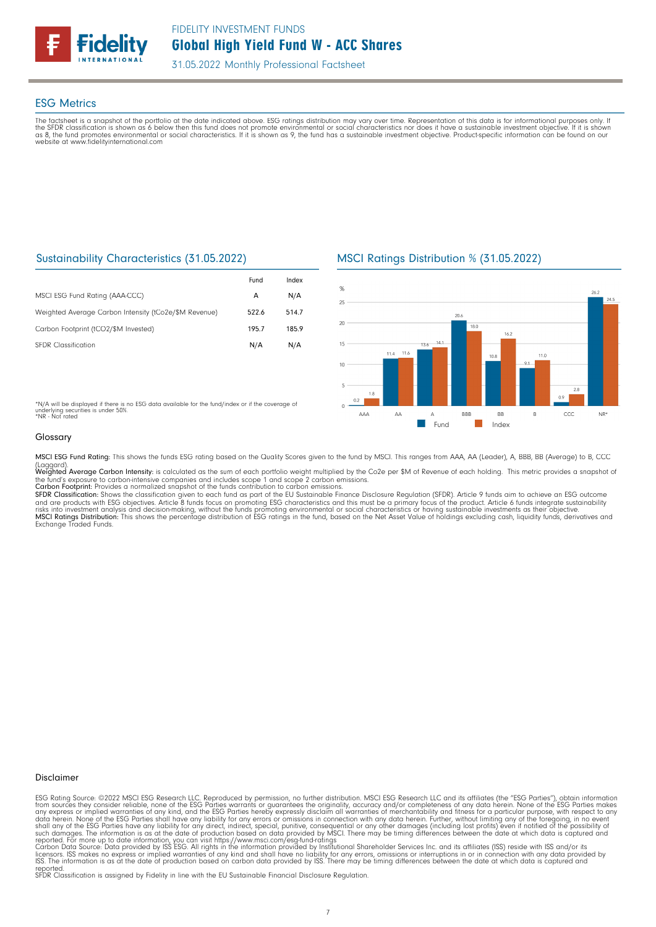

## ESG Metrics

The factsheet is a snapshot of the portfolio at the date indicated above. ESG ratings distribution may vary over time. Representation of this data is for informational purposes only. If<br>the SFDR classification is shown as website at www.fidelityinternational.com

## Sustainability Characteristics (31.05.2022)

|                                                       | Fund  | Index |
|-------------------------------------------------------|-------|-------|
| MSCI ESG Fund Rating (AAA-CCC)                        | A     | N/A   |
| Weighted Average Carbon Intensity (tCo2e/\$M Revenue) | 522.6 | 514.7 |
| Carbon Footprint (tCO2/\$M Invested)                  | 1957  | 185.9 |
| <b>SEDR</b> Classification                            | N/A   | N/A   |

MSCI Ratings Distribution % (31.05.2022)



\*N/A will be displayed if there is no ESG data available for the fund/index or if the coverage of<br>underlying securities is under 50%.<br>\*NR - Not rated

### Glossary

MSCI ESG Fund Rating: This shows the funds ESG rating based on the Quality Scores given to the fund by MSCI. This ranges from AAA, AA (Leader), A, BBB, BB (Average) to B, CCC

(Laggard).<br>Weighted Average Carbon Intensity: is calculated as the sum of each portfolio weight multiplied by the Co2e per \$M of Revenue of each holding. This metric provides a snapshot o'<br>the fund's exposure to carbon-int

**Carbon Footprint**: Provides a normalized snapshot of the funds contribution to carbon emissions.<br>**SFDR Classification:** Shows the classification given to each fund as part of the EU Sustainable Finance Disclosure Regulati and are products with ESG objectives. Article 8 funds focus on promoting ESG characteristics and this must be a primary focus of the product. Article 6 funds integrate sustainability<br>risks into investment analysis and deci Exchange Traded Funds.

### Disclaimer

ESG Rating Source: ©2022 MSCI ESG Research LLC. Reproduced by permission, no further distribution. MSCI ESG Research LLC and its affiliates (the "ESG Parties"), obtain information<br>from sources they consider reliable, none

reported. SFDR Classification is assigned by Fidelity in line with the EU Sustainable Financial Disclosure Regulation.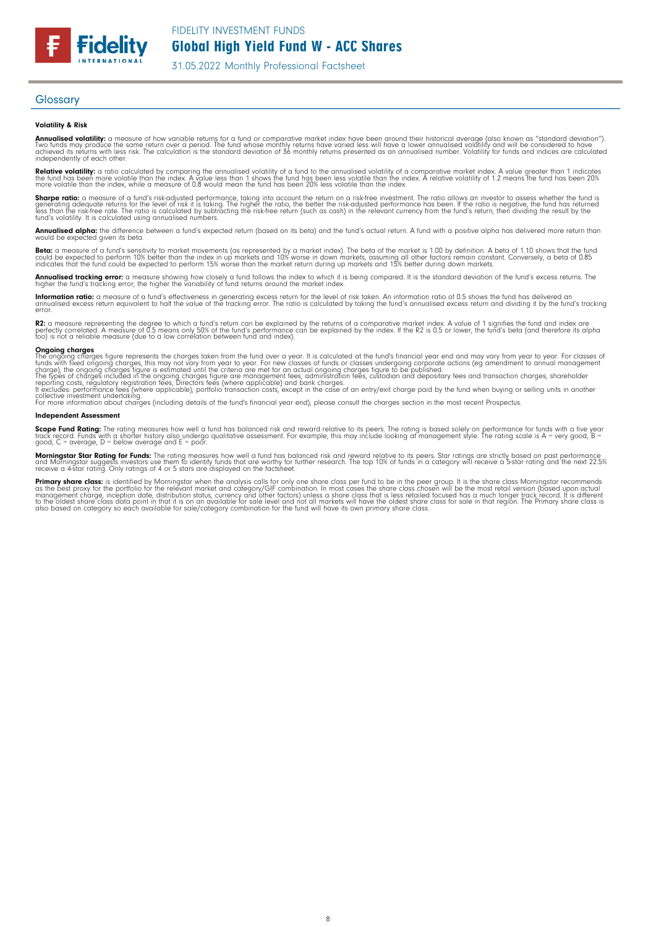FIDELITY INVESTMENT FUNDS

Global High Yield Fund W - ACC Shares

31.05.2022 Monthly Professional Factsheet

### **Glossary**

**Fidelity** 

### Volatility & Risk

**Annualised volatility:** a measure of how variable returns for a fund or comparative market index have been around their historical average (also known as "standard deviation").<br>Two funds may produce the same return over a independently of each other.

**Relative volatility:** a ratio calculated by comparing the annualised volatility of a fund to the annualised volatility of a comparative market index. A value greater than 1 indicates<br>the fund has been more volatile than t

**Sharpe ratio:** a measure of a fund's risk-adjusted performance, taking into account the return on a risk-free investment. The ratio allows an investor to assess whether the fund is<br>generating adequate returns for the leve

**Annualised alpha:** the difference between a fund's expected return (based on its beta) and the fund's actual return. A fund with a positive alpha has delivered more return than<br>would be expected given its beta.

**Beta:** a measure of a fund's sensitivity to market movements (as represented by a market index). The beta of the market is 1.00 by definition. A beta of 1.10 shows that the fund<br>could be expected to perform 10% better tha

**Annualised tracking error:** a measure showing how closely a fund follows the index to which it is being compared. It is the standard deviation of the fund's excess returns. The<br>higher the fund's tracking error, the higher

**Information ratio:** a measure of a fund's effectiveness in generating excess return for the level of risk taken. An information ratio of 0.5 shows the fund has delivered an<br>annualised excess return equivalent to half the error.

**R2:** a measure representing the degree to which a fund's return can be explained by the returns of a comparative market index. A value of 1 signifies the fund and index are<br>perfectly correlated. A measure of 0.5 means onl

**Ongoing charges**<br>The ongoing charges figure represents the charges taken from the fund over a year. It is calculated at the fund's financial year end and may vary from year to year. For classes of<br>funds with fixed ongoing

collective investment undertaking. For more information about charges (including details of the fund's financial year end), please consult the charges section in the most recent Prospectus.

### Independent Assessment

**Scope Fund Rating:** The rating measures how well a fund has balanced risk and reward relative to its peers. The rating is based solely on performance for funds with a five year<br>track record. Funds with a shorter history a

**Morningstar Star Rating for Funds:** The rating measures how well a fund has balanced risk and reward relative to its peers. Star ratings are strictly based on past performance<br>and Morningstar suggests investors use them t

**Primary share class**: is identified by Morningstar when the analysis calls for only one share class per fund to be in the peer group. It is the share class hormingstar recommends<br>as the best proxy for the portfolio for th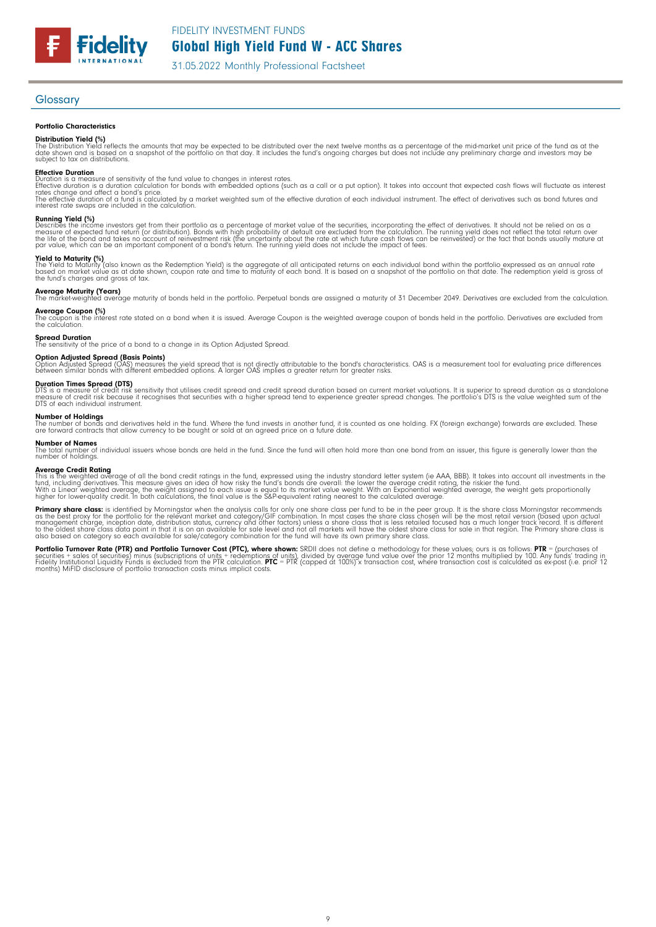FIDELITY INVESTMENT FUNDS

Global High Yield Fund W - ACC Shares

31.05.2022 Monthly Professional Factsheet

### Glossary

### Portfolio Characteristics

**Fidelity** 

**Distribution Yield (%)**<br>The Distribution Yield reflects the amounts that may be expected to be distributed over the next twelve months as a percentage of the mid-market unit price of the fund as at the<br>date shown and is b

**Effective Duration**<br>Duration is a measure of sensitivity of the fund value to changes in interest rates.<br>Effective duration is a duration calculation for bonds with embedded options (such as a call or a put option). It ta The effective duration of a fund is calculated by a market weighted sum of the effective duration of each individual instrument. The effect of derivatives such as bond futures and<br>interest rate swaps are included in the ca

**Running Yield (%)**<br>Describes the income investors get from their portfolio as a percentage of market value of the securities, incorporating the effect of derivatives. It should not be relied on as a<br>measure of expected fu

**Yield to Maturity (%)**<br>The Yield to Maturity (also known as the Redemption Yield) is the aggregate of all anticipated returns on each individual bond within the portfolio expressed as an annual rate<br>based on market value

**Average Maturity (Years)**<br>The market-weighted average maturity of bonds held in the portfolio. Perpetual bonds are assigned a maturity of 31 December 2049. Derivatives are excluded from the calculation.

**Average Coupon (%)**<br>The coupon is the interest rate stated on a bond when it is issued. Average Coupon is the weighted average coupon of bonds held in the portfolio. Derivatives are excluded from<br>the calculation.

**Spread Duration**<br>The sensitivity of the price of a bond to a change in its Option Adjusted Spread.

**Option Adjusted Spread (Basis Points)**<br>Option Adjusted Spread (OAS) measures the yield spread that is not directly attributable to the bond's characteristics. OAS is a measurement tool for evaluating price differences<br>bet

**Duration Times Spread (DTS)**<br>DTS is a measure of credit risk sensitivity that utilises credit spread and credit spread duration based on current market valuations. It is superior to spread duration as a standalone<br>measure

### Number of Holdings

The number of bonds and derivatives held in the fund. Where the fund invests in another fund, it is counted as one holding. FX (foreign exchange) forwards are excluded. These<br>are forward contracts that allow currency to be

**Number of Names**<br>The total number of individual issuers whose bonds are held in the fund. Since the fund will often hold more than one bond from an issuer, this figure is generally lower than the<br>number of holdings.

**Average Credit Rating**<br>This is the weighted average of all the bond credit ratings in the fund, expressed using the industry standard letter system (ie AAA, BBB). It takes into account all investments in the<br>fund, includi

**Primary share class:** is identified by Morningstar when the analysis calls for only one share class per fund to be in the peer group. It is the share class Morningstar recommends as the share class is identified by Mornin also based on category so each available for sale/category combination for the fund will have its own primary share class.

**Portfolio Turnover Rate (PTR) and Portfolio Turnover Cost (PTC), where shown:** SRDII does not define a methodology for these values; ours is as follows: **PTR** = (purchases of<br>securities + sales of securities) minus (subsc